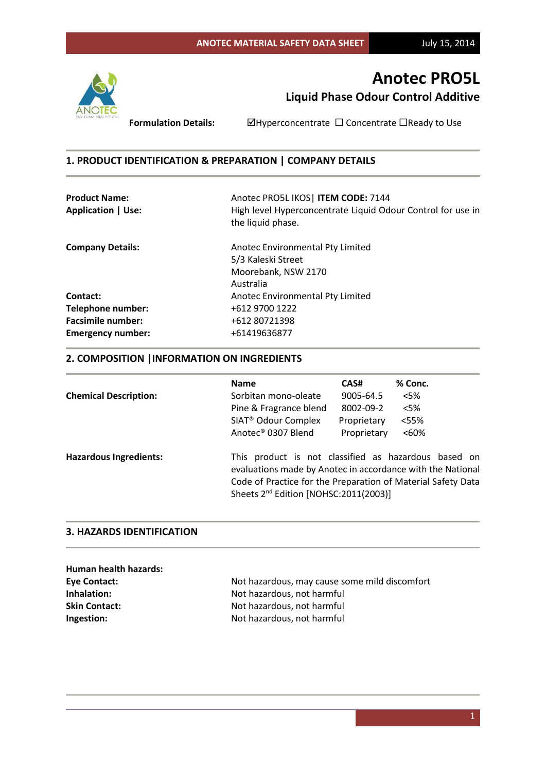

**Formulation Details:** <br>  $\Box$  <br>  $\Box$  <br>  $\Box$  <br>  $\Box$  <br>  $\Box$  <br>  $\Box$  <br>  $\Box$  <br>  $\Box$  <br>  $\Box$  <br>  $\Box$  <br>  $\Box$  <br>  $\Box$  <br>  $\Box$  <br>  $\Box$  <br>  $\Box$  <br>  $\Box$  <br>  $\Box$  <br>  $\Box$  <br>  $\Box$  <br>  $\Box$  <br>  $\Box$  <br>  $\Box$  <br>  $\Box$  <br>  $\Box$   $\Box$   $\Box$   $\Box$   $\Box$   $\Box$   $\Box$ 

# **1. PRODUCT IDENTIFICATION & PREPARATION | COMPANY DETAILS**

| <b>Product Name:</b>      | Anotec PRO5L IKOS   ITEM CODE: 7144                                              |  |
|---------------------------|----------------------------------------------------------------------------------|--|
| <b>Application   Use:</b> | High level Hyperconcentrate Liquid Odour Control for use in<br>the liquid phase. |  |
| <b>Company Details:</b>   | Anotec Environmental Pty Limited                                                 |  |
|                           | 5/3 Kaleski Street                                                               |  |
|                           | Moorebank, NSW 2170                                                              |  |
|                           | Australia                                                                        |  |
| Contact:                  | Anotec Environmental Pty Limited                                                 |  |
| <b>Telephone number:</b>  | +612 9700 1222                                                                   |  |
| <b>Facsimile number:</b>  | +612 80721398                                                                    |  |
| <b>Emergency number:</b>  | +61419636877                                                                     |  |

# **2. COMPOSITION |INFORMATION ON INGREDIENTS**

|                               | <b>Name</b>                                                                                                                                                                                                                             | CAS#        | % Conc.  |
|-------------------------------|-----------------------------------------------------------------------------------------------------------------------------------------------------------------------------------------------------------------------------------------|-------------|----------|
| <b>Chemical Description:</b>  | Sorbitan mono-oleate                                                                                                                                                                                                                    | 9005-64.5   | $<$ 5%   |
|                               | Pine & Fragrance blend                                                                                                                                                                                                                  | 8002-09-2   | $<$ 5%   |
|                               | SIAT <sup>®</sup> Odour Complex                                                                                                                                                                                                         | Proprietary | <55%     |
|                               | Anotec <sup>®</sup> 0307 Blend                                                                                                                                                                                                          | Proprietary | $< 60\%$ |
| <b>Hazardous Ingredients:</b> | This product is not classified as hazardous based on<br>evaluations made by Anotec in accordance with the National<br>Code of Practice for the Preparation of Material Safety Data<br>Sheets 2 <sup>nd</sup> Edition [NOHSC:2011(2003)] |             |          |

### **3. HAZARDS IDENTIFICATION**

| Human health hazards: |                                               |
|-----------------------|-----------------------------------------------|
| Eye Contact:          | Not hazardous, may cause some mild discomfort |
| Inhalation:           | Not hazardous, not harmful                    |
| <b>Skin Contact:</b>  | Not hazardous, not harmful                    |
| Ingestion:            | Not hazardous, not harmful                    |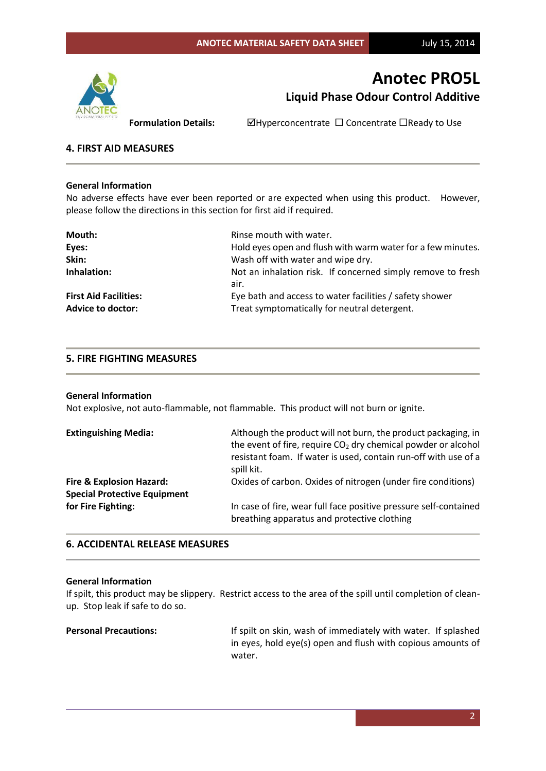

**Formulation Details:** <br>  $\Box$  Hyperconcentrate  $\Box$  Concentrate  $\Box$  Ready to Use

### **4. FIRST AID MEASURES**

#### **General Information**

No adverse effects have ever been reported or are expected when using this product. However, please follow the directions in this section for first aid if required.

| Mouth:                       | Rinse mouth with water.                                     |
|------------------------------|-------------------------------------------------------------|
| Eyes:                        | Hold eyes open and flush with warm water for a few minutes. |
| Skin:                        | Wash off with water and wipe dry.                           |
| Inhalation:                  | Not an inhalation risk. If concerned simply remove to fresh |
|                              | air.                                                        |
| <b>First Aid Facilities:</b> | Eye bath and access to water facilities / safety shower     |
| <b>Advice to doctor:</b>     | Treat symptomatically for neutral detergent.                |

### **5. FIRE FIGHTING MEASURES**

#### **General Information**

Not explosive, not auto-flammable, not flammable. This product will not burn or ignite.

| <b>Extinguishing Media:</b>         | Although the product will not burn, the product packaging, in<br>the event of fire, require $CO2$ dry chemical powder or alcohol<br>resistant foam. If water is used, contain run-off with use of a<br>spill kit. |
|-------------------------------------|-------------------------------------------------------------------------------------------------------------------------------------------------------------------------------------------------------------------|
| <b>Fire &amp; Explosion Hazard:</b> | Oxides of carbon. Oxides of nitrogen (under fire conditions)                                                                                                                                                      |
| <b>Special Protective Equipment</b> |                                                                                                                                                                                                                   |
| for Fire Fighting:                  | In case of fire, wear full face positive pressure self-contained<br>breathing apparatus and protective clothing                                                                                                   |

### **6. ACCIDENTAL RELEASE MEASURES**

#### **General Information**

If spilt, this product may be slippery. Restrict access to the area of the spill until completion of cleanup. Stop leak if safe to do so.

Personal Precautions: **If spilt on skin, wash of immediately with water.** If splashed in eyes, hold eye(s) open and flush with copious amounts of water.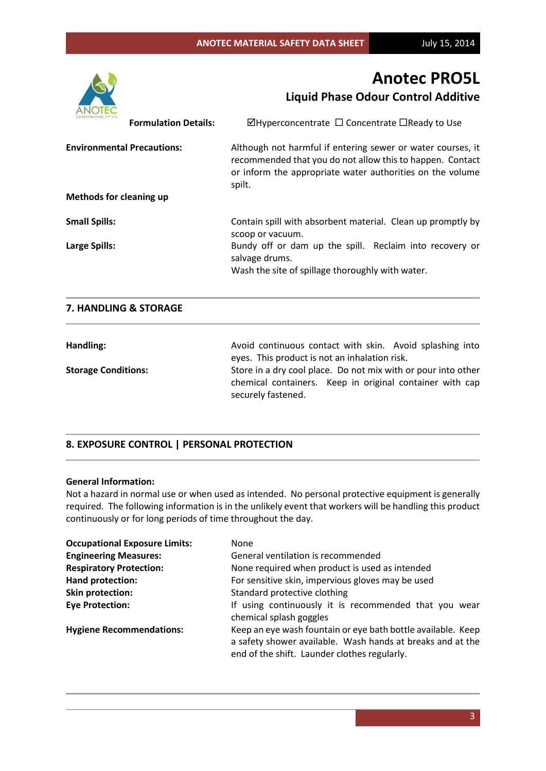

| <b>Formulation Details:</b>       | $\boxtimes$ Hyperconcentrate $\Box$ Concentrate $\Box$ Ready to Use                                                                                                                             |
|-----------------------------------|-------------------------------------------------------------------------------------------------------------------------------------------------------------------------------------------------|
| <b>Environmental Precautions:</b> | Although not harmful if entering sewer or water courses, it<br>recommended that you do not allow this to happen. Contact<br>or inform the appropriate water authorities on the volume<br>spilt. |
| Methods for cleaning up           |                                                                                                                                                                                                 |
| <b>Small Spills:</b>              | Contain spill with absorbent material. Clean up promptly by<br>scoop or vacuum.                                                                                                                 |
| <b>Large Spills:</b>              | Bundy off or dam up the spill. Reclaim into recovery or<br>salvage drums.<br>Wash the site of spillage thoroughly with water.                                                                   |
| 7. HANDLING & STORAGE             |                                                                                                                                                                                                 |
| Handling:                         | Avoid continuous contact with skin. Avoid splashing into<br>eyes. This product is not an inhalation risk.                                                                                       |
| <b>Storage Conditions:</b>        | Store in a dry cool place. Do not mix with or pour into other<br>chamical containers. Koon in eriginal container with can                                                                       |

chemical containers. Keep in original container with cap securely fastened.

# **8. EXPOSURE CONTROL | PERSONAL PROTECTION**

# **General Information:**

Not a hazard in normal use or when used as intended. No personal protective equipment is generally required. The following information is in the unlikely event that workers will be handling this product continuously or for long periods of time throughout the day.

| <b>Occupational Exposure Limits:</b> | None                                                                                                                                                                       |  |
|--------------------------------------|----------------------------------------------------------------------------------------------------------------------------------------------------------------------------|--|
| <b>Engineering Measures:</b>         | General ventilation is recommended                                                                                                                                         |  |
| <b>Respiratory Protection:</b>       | None required when product is used as intended                                                                                                                             |  |
| Hand protection:                     | For sensitive skin, impervious gloves may be used                                                                                                                          |  |
| <b>Skin protection:</b>              | Standard protective clothing                                                                                                                                               |  |
| <b>Eye Protection:</b>               | If using continuously it is recommended that you wear<br>chemical splash goggles                                                                                           |  |
| <b>Hygiene Recommendations:</b>      | Keep an eye wash fountain or eye bath bottle available. Keep<br>a safety shower available. Wash hands at breaks and at the<br>end of the shift. Launder clothes regularly. |  |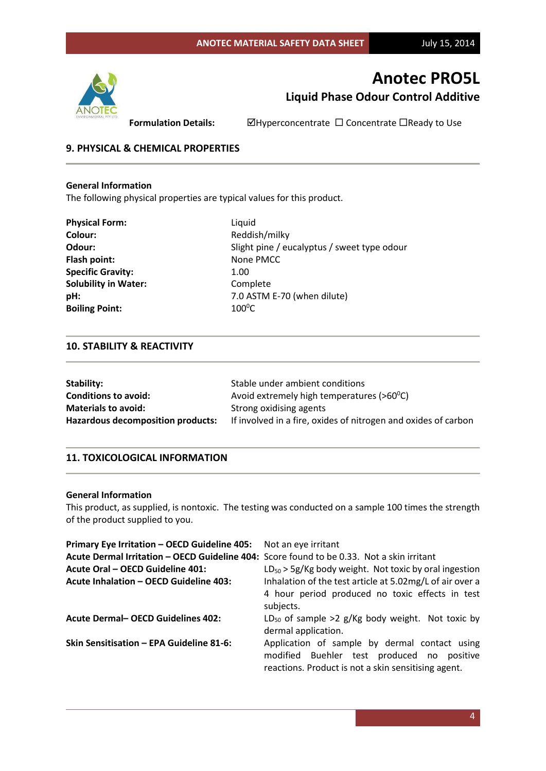

**Formulation Details: MHyperconcentrate □ Concentrate □ Ready to Use** 

# **9. PHYSICAL & CHEMICAL PROPERTIES**

### **General Information**

The following physical properties are typical values for this product.

| <b>Physical Form:</b>       | Ligu             |
|-----------------------------|------------------|
| Colour:                     | Red              |
| Odour:                      | Sligh            |
| Flash point:                | Non              |
| <b>Specific Gravity:</b>    | 1.00             |
| <b>Solubility in Water:</b> | Com              |
| pH:                         | 7.0/             |
| <b>Boiling Point:</b>       | 100 <sup>0</sup> |

**Liquid Colour:** Reddish/milky Slight pine / eucalyptus / sweet type odour **Flash point:** None PMCC **Complete** 7.0 ASTM E-70 (when dilute) **Boiling Point:** 100<sup>0</sup>C

### **10. STABILITY & REACTIVITY**

| Stability:                               | Stable under ambient conditions                                |
|------------------------------------------|----------------------------------------------------------------|
| <b>Conditions to avoid:</b>              | Avoid extremely high temperatures ( $>60^{\circ}$ C)           |
| <b>Materials to avoid:</b>               | Strong oxidising agents                                        |
| <b>Hazardous decomposition products:</b> | If involved in a fire, oxides of nitrogen and oxides of carbon |

### **11. TOXICOLOGICAL INFORMATION**

#### **General Information**

This product, as supplied, is nontoxic. The testing was conducted on a sample 100 times the strength of the product supplied to you.

| Primary Eye Irritation - OECD Guideline 405: Not an eye irritant                          |                                                                                                                                                    |
|-------------------------------------------------------------------------------------------|----------------------------------------------------------------------------------------------------------------------------------------------------|
| Acute Dermal Irritation - OECD Guideline 404: Score found to be 0.33. Not a skin irritant |                                                                                                                                                    |
| <b>Acute Oral - OECD Guideline 401:</b>                                                   | $LD_{50}$ > 5g/Kg body weight. Not toxic by oral ingestion                                                                                         |
| <b>Acute Inhalation - OECD Guideline 403:</b>                                             | Inhalation of the test article at 5.02mg/L of air over a                                                                                           |
|                                                                                           | 4 hour period produced no toxic effects in test                                                                                                    |
|                                                                                           | subjects.                                                                                                                                          |
| <b>Acute Dermal- OECD Guidelines 402:</b>                                                 | $LD_{50}$ of sample >2 g/Kg body weight. Not toxic by<br>dermal application.                                                                       |
| Skin Sensitisation - EPA Guideline 81-6:                                                  | Application of sample by dermal contact using<br>modified Buehler test produced no positive<br>reactions. Product is not a skin sensitising agent. |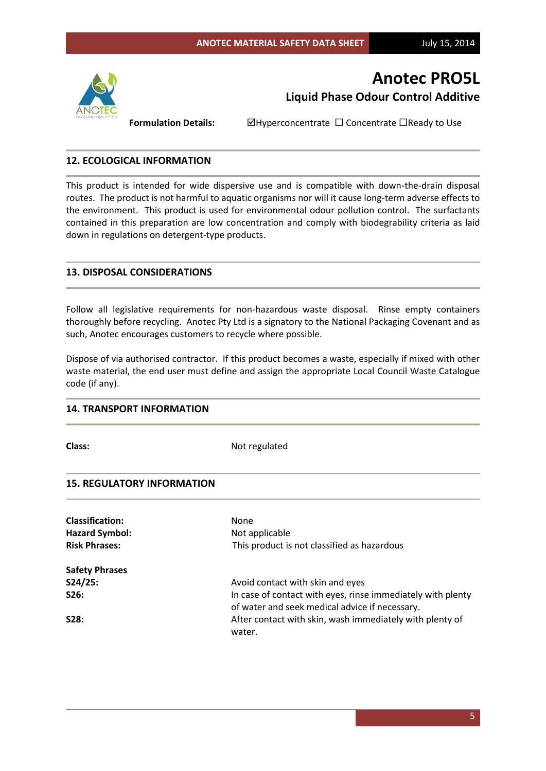

**Formulation Details:**  $\Box$ Hyperconcentrate  $\Box$  Concentrate  $\Box$ Ready to Use

### **12. ECOLOGICAL INFORMATION**

This product is intended for wide dispersive use and is compatible with down-the-drain disposal routes. The product is not harmful to aquatic organisms nor will it cause long-term adverse effects to the environment. This product is used for environmental odour pollution control. The surfactants contained in this preparation are low concentration and comply with biodegrability criteria as laid down in regulations on detergent-type products.

## **13. DISPOSAL CONSIDERATIONS**

Follow all legislative requirements for non-hazardous waste disposal. Rinse empty containers thoroughly before recycling. Anotec Pty Ltd is a signatory to the National Packaging Covenant and as such, Anotec encourages customers to recycle where possible.

Dispose of via authorised contractor. If this product becomes a waste, especially if mixed with other waste material, the end user must define and assign the appropriate Local Council Waste Catalogue code (if any).

# **14. TRANSPORT INFORMATION**

**Class:** Not regulated

#### **15. REGULATORY INFORMATION**

| <b>Classification:</b><br><b>Hazard Symbol:</b> | <b>None</b><br>Not applicable                                                                                 |
|-------------------------------------------------|---------------------------------------------------------------------------------------------------------------|
| <b>Risk Phrases:</b>                            | This product is not classified as hazardous                                                                   |
| <b>Safety Phrases</b>                           |                                                                                                               |
| S24/25:                                         | Avoid contact with skin and eyes                                                                              |
| S26:                                            | In case of contact with eyes, rinse immediately with plenty<br>of water and seek medical advice if necessary. |
| S28:                                            | After contact with skin, wash immediately with plenty of<br>water.                                            |